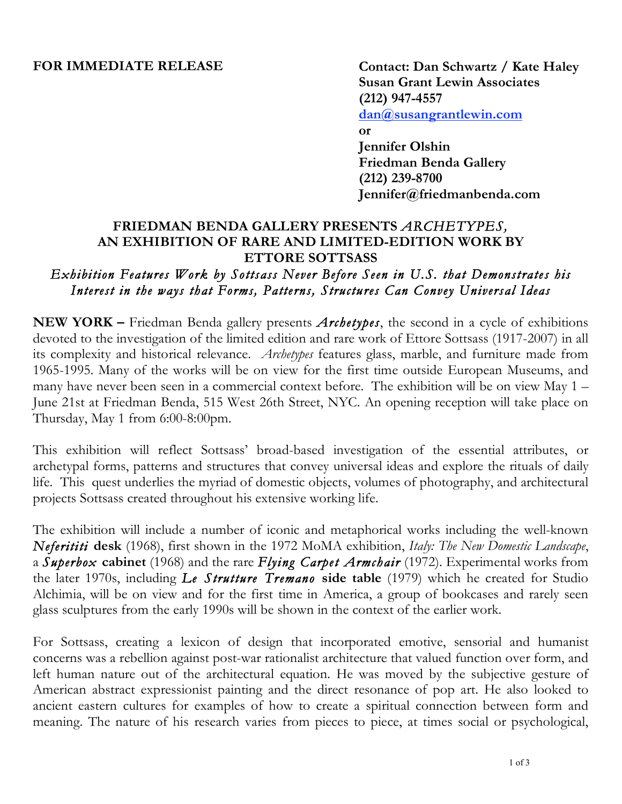## **FOR IMMEDIATE RELEASE**

**Contact: Dan Schwartz / Kate Haley Susan Grant Lewin Associates (212) 947-4557 dan@susangrantlewin.com or Jennifer Olshin**

**Friedman Benda Gallery (212) 239-8700 Jennifer@friedmanbenda.com**

## **FRIEDMAN BENDA GALLERY PRESENTS** *ARCHETYPES,*  **AN EXHIBITION OF RARE AND LIMITED-EDITION WORK BY ETTORE SOTTSASS**

## *Exhibition Features Work by Sotts ass Never Before Seen in U.S. that Demonstrates his Interest in the ways that Forms, Patterns, Structures Can Convey Universal Ideas*

**NEW YORK –** Friedman Benda gallery presents *Archetypes*, the second in a cycle of exhibitions devoted to the investigation of the limited edition and rare work of Ettore Sottsass (1917-2007) in all its complexity and historical relevance. *Archetypes* features glass, marble, and furniture made from 1965-1995. Many of the works will be on view for the first time outside European Museums, and many have never been seen in a commercial context before. The exhibition will be on view May 1 – June 21st at Friedman Benda, 515 West 26th Street, NYC. An opening reception will take place on Thursday, May 1 from 6:00-8:00pm.

This exhibition will reflect Sottsass' broad-based investigation of the essential attributes, or archetypal forms, patterns and structures that convey universal ideas and explore the rituals of daily life. This quest underlies the myriad of domestic objects, volumes of photography, and architectural projects Sottsass created throughout his extensive working life.

The exhibition will include a number of iconic and metaphorical works including the well-known *Neferititi* **desk** (1968), first shown in the 1972 MoMA exhibition, *Italy: The New Domestic Landscape*, a *Superbox* **cabinet** (1968) and the rare *Flying Carpet Armchair* (1972). Experimental works from the later 1970s, including *Le Strutture Tremano* **side table** (1979) which he created for Studio Alchimia, will be on view and for the first time in America, a group of bookcases and rarely seen glass sculptures from the early 1990s will be shown in the context of the earlier work.

For Sottsass, creating a lexicon of design that incorporated emotive, sensorial and humanist concerns was a rebellion against post-war rationalist architecture that valued function over form, and left human nature out of the architectural equation. He was moved by the subjective gesture of American abstract expressionist painting and the direct resonance of pop art. He also looked to ancient eastern cultures for examples of how to create a spiritual connection between form and meaning. The nature of his research varies from pieces to piece, at times social or psychological,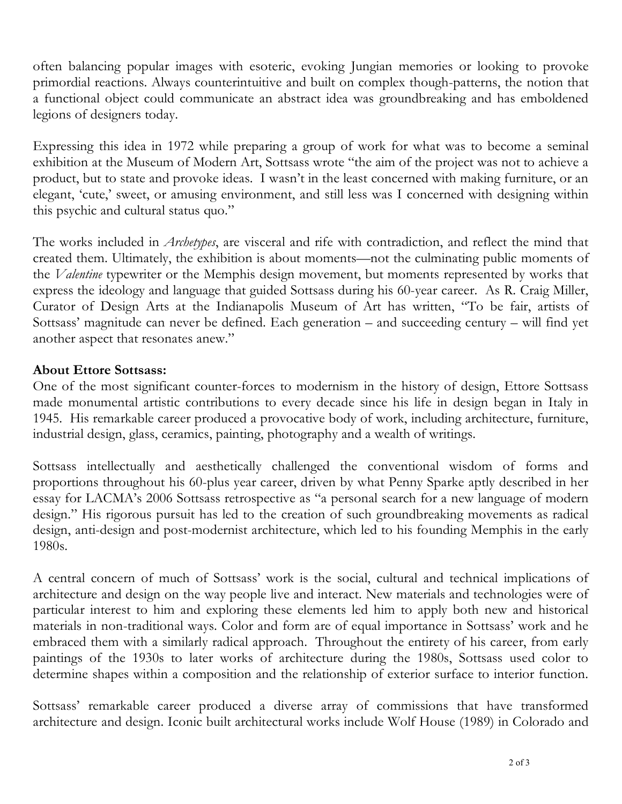often balancing popular images with esoteric, evoking Jungian memories or looking to provoke primordial reactions. Always counterintuitive and built on complex though-patterns, the notion that a functional object could communicate an abstract idea was groundbreaking and has emboldened legions of designers today.

Expressing this idea in 1972 while preparing a group of work for what was to become a seminal exhibition at the Museum of Modern Art, Sottsass wrote "the aim of the project was not to achieve a product, but to state and provoke ideas. I wasn't in the least concerned with making furniture, or an elegant, 'cute,' sweet, or amusing environment, and still less was I concerned with designing within this psychic and cultural status quo."

The works included in *Archetypes*, are visceral and rife with contradiction, and reflect the mind that created them. Ultimately, the exhibition is about moments—not the culminating public moments of the *Valentine* typewriter or the Memphis design movement, but moments represented by works that express the ideology and language that guided Sottsass during his 60-year career. As R. Craig Miller, Curator of Design Arts at the Indianapolis Museum of Art has written, "To be fair, artists of Sottsass' magnitude can never be defined. Each generation – and succeeding century – will find yet another aspect that resonates anew."

## **About Ettore Sottsass:**

One of the most significant counter-forces to modernism in the history of design, Ettore Sottsass made monumental artistic contributions to every decade since his life in design began in Italy in 1945. His remarkable career produced a provocative body of work, including architecture, furniture, industrial design, glass, ceramics, painting, photography and a wealth of writings.

Sottsass intellectually and aesthetically challenged the conventional wisdom of forms and proportions throughout his 60-plus year career, driven by what Penny Sparke aptly described in her essay for LACMA's 2006 Sottsass retrospective as "a personal search for a new language of modern design." His rigorous pursuit has led to the creation of such groundbreaking movements as radical design, anti-design and post-modernist architecture, which led to his founding Memphis in the early 1980s.

A central concern of much of Sottsass' work is the social, cultural and technical implications of architecture and design on the way people live and interact. New materials and technologies were of particular interest to him and exploring these elements led him to apply both new and historical materials in non-traditional ways. Color and form are of equal importance in Sottsass' work and he embraced them with a similarly radical approach. Throughout the entirety of his career, from early paintings of the 1930s to later works of architecture during the 1980s, Sottsass used color to determine shapes within a composition and the relationship of exterior surface to interior function.

Sottsass' remarkable career produced a diverse array of commissions that have transformed architecture and design. Iconic built architectural works include Wolf House (1989) in Colorado and